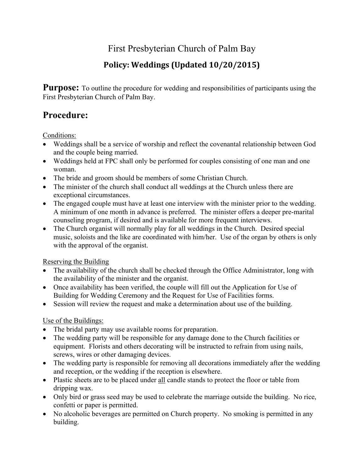# First Presbyterian Church of Palm Bay

## **Policy: Weddings (Updated 10/20/2015)**

**Purpose:** To outline the procedure for wedding and responsibilities of participants using the First Presbyterian Church of Palm Bay.

## **Procedure:**

Conditions:

- Weddings shall be a service of worship and reflect the covenantal relationship between God and the couple being married.
- Weddings held at FPC shall only be performed for couples consisting of one man and one woman.
- The bride and groom should be members of some Christian Church.
- The minister of the church shall conduct all weddings at the Church unless there are exceptional circumstances.
- The engaged couple must have at least one interview with the minister prior to the wedding. A minimum of one month in advance is preferred. The minister offers a deeper pre-marital counseling program, if desired and is available for more frequent interviews.
- The Church organist will normally play for all weddings in the Church. Desired special music, soloists and the like are coordinated with him/her. Use of the organ by others is only with the approval of the organist.

Reserving the Building

- The availability of the church shall be checked through the Office Administrator, long with the availability of the minister and the organist.
- Once availability has been verified, the couple will fill out the Application for Use of Building for Wedding Ceremony and the Request for Use of Facilities forms.
- Session will review the request and make a determination about use of the building.

Use of the Buildings:

- The bridal party may use available rooms for preparation.
- The wedding party will be responsible for any damage done to the Church facilities or equipment. Florists and others decorating will be instructed to refrain from using nails, screws, wires or other damaging devices.
- The wedding party is responsible for removing all decorations immediately after the wedding and reception, or the wedding if the reception is elsewhere.
- Plastic sheets are to be placed under all candle stands to protect the floor or table from dripping wax.
- Only bird or grass seed may be used to celebrate the marriage outside the building. No rice, confetti or paper is permitted.
- No alcoholic beverages are permitted on Church property. No smoking is permitted in any building.